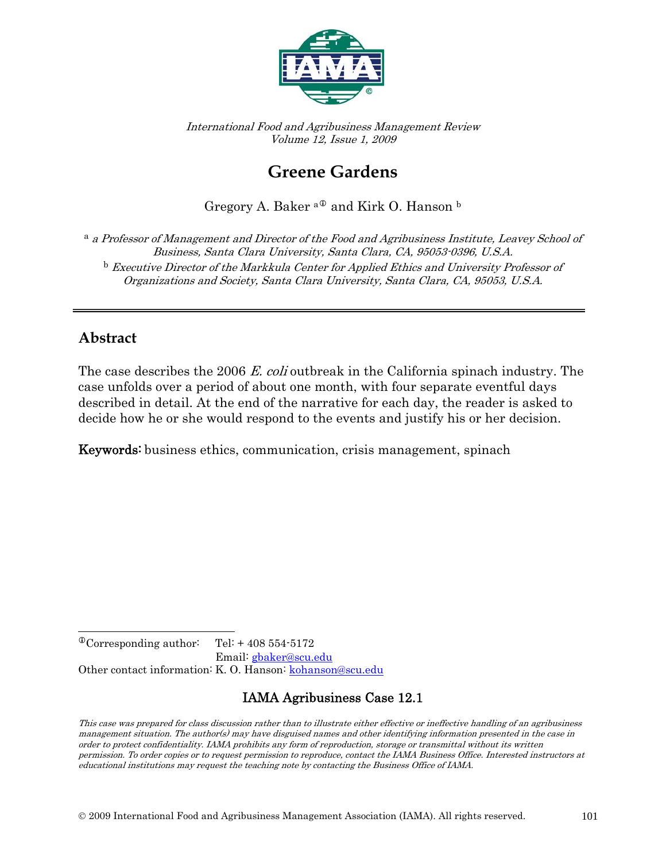

International Food and Agribusiness Management Review Volume 12, Issue 1, 2009

# **Greene Gardens**

Gregory A. Baker $^{\mathrm{a}\Phi}$  and Kirk O. Hanson  $^{\mathrm{b}}$ 

<sup>a</sup> a Professor of Management and Director of the Food and Agribusiness Institute, Leavey School of Business, Santa Clara University, Santa Clara, CA, 95053-0396, U.S.A. <sup>b</sup> Executive Director of the Markkula Center for Applied Ethics and University Professor of Organizations and Society, Santa Clara University, Santa Clara, CA, 95053, U.S.A.

### **Abstract**

The case describes the 2006 E. coli outbreak in the California spinach industry. The case unfolds over a period of about one month, with four separate eventful days described in detail. At the end of the narrative for each day, the reader is asked to decide how he or she would respond to the events and justify his or her decision.

Keywords: business ethics, communication, crisis management, spinach

<span id="page-0-0"></span> $\overline{a}$  $^{\circ}$ Corresponding author: Tel: + 408 554-5172 Email: [gbaker@scu.edu](mailto:gbaker@scu.edu)  Other contact information: K. O. Hanson: kohanson@scu.edu

### IAMA Agribusiness Case 12.1

This case was prepared for class discussion rather than to illustrate either effective or ineffective handling of an agribusiness management situation. The author(s) may have disguised names and other identifying information presented in the case in order to protect confidentiality. IAMA prohibits any form of reproduction, storage or transmittal without its written permission. To order copies or to request permission to reproduce, contact the IAMA Business Office. Interested instructors at educational institutions may request the teaching note by contacting the Business Office of IAMA.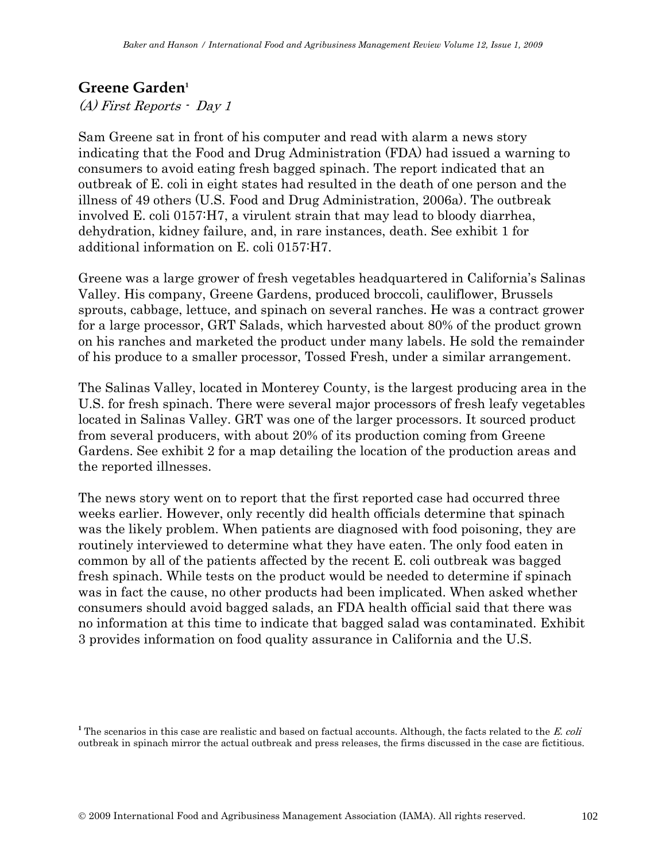#### **Greene Garden<sup>1</sup>**

(A) First Reports - Day 1

Sam Greene sat in front of his computer and read with alarm a news story indicating that the Food and Drug Administration (FDA) had issued a warning to consumers to avoid eating fresh bagged spinach. The report indicated that an outbreak of E. coli in eight states had resulted in the death of one person and the illness of 49 others (U.S. Food and Drug Administration, 2006a). The outbreak involved E. coli 0157:H7, a virulent strain that may lead to bloody diarrhea, dehydration, kidney failure, and, in rare instances, death. See exhibit 1 for additional information on E. coli 0157:H7.

Greene was a large grower of fresh vegetables headquartered in California's Salinas Valley. His company, Greene Gardens, produced broccoli, cauliflower, Brussels sprouts, cabbage, lettuce, and spinach on several ranches. He was a contract grower for a large processor, GRT Salads, which harvested about 80% of the product grown on his ranches and marketed the product under many labels. He sold the remainder of his produce to a smaller processor, Tossed Fresh, under a similar arrangement.

The Salinas Valley, located in Monterey County, is the largest producing area in the U.S. for fresh spinach. There were several major processors of fresh leafy vegetables located in Salinas Valley. GRT was one of the larger processors. It sourced product from several producers, with about 20% of its production coming from Greene Gardens. See exhibit 2 for a map detailing the location of the production areas and the reported illnesses.

The news story went on to report that the first reported case had occurred three weeks earlier. However, only recently did health officials determine that spinach was the likely problem. When patients are diagnosed with food poisoning, they are routinely interviewed to determine what they have eaten. The only food eaten in common by all of the patients affected by the recent E. coli outbreak was bagged fresh spinach. While tests on the product would be needed to determine if spinach was in fact the cause, no other products had been implicated. When asked whether consumers should avoid bagged salads, an FDA health official said that there was no information at this time to indicate that bagged salad was contaminated. Exhibit 3 provides information on food quality assurance in California and the U.S.

<sup>&</sup>lt;sup>1</sup> The scenarios in this case are realistic and based on factual accounts. Although, the facts related to the E. coli outbreak in spinach mirror the actual outbreak and press releases, the firms discussed in the case are fictitious.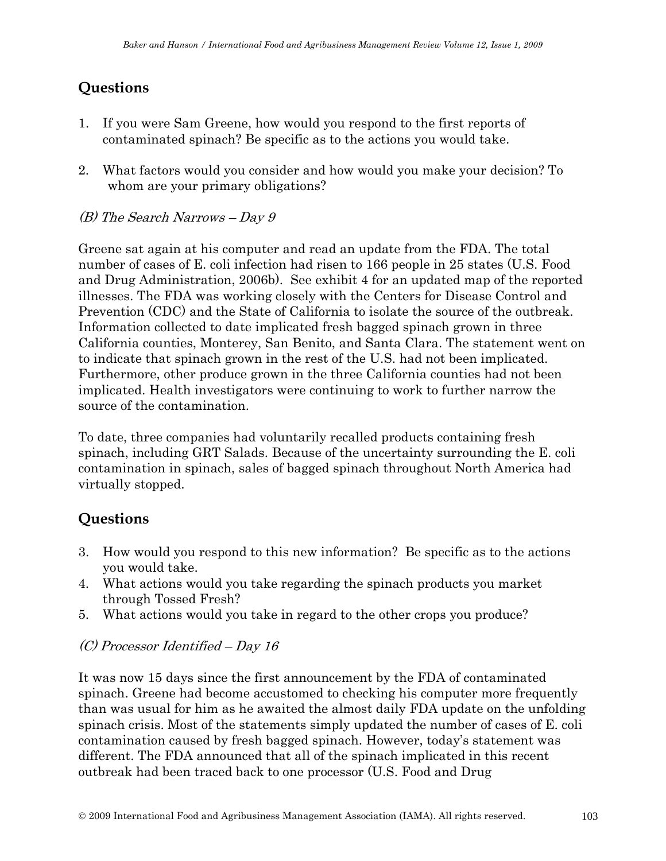# **Questions**

- 1. If you were Sam Greene, how would you respond to the first reports of contaminated spinach? Be specific as to the actions you would take.
- 2. What factors would you consider and how would you make your decision? To whom are your primary obligations?

#### (B) The Search Narrows – Day 9

Greene sat again at his computer and read an update from the FDA. The total number of cases of E. coli infection had risen to 166 people in 25 states (U.S. Food and Drug Administration, 2006b). See exhibit 4 for an updated map of the reported illnesses. The FDA was working closely with the Centers for Disease Control and Prevention (CDC) and the State of California to isolate the source of the outbreak. Information collected to date implicated fresh bagged spinach grown in three California counties, Monterey, San Benito, and Santa Clara. The statement went on to indicate that spinach grown in the rest of the U.S. had not been implicated. Furthermore, other produce grown in the three California counties had not been implicated. Health investigators were continuing to work to further narrow the source of the contamination.

To date, three companies had voluntarily recalled products containing fresh spinach, including GRT Salads. Because of the uncertainty surrounding the E. coli contamination in spinach, sales of bagged spinach throughout North America had virtually stopped.

# **Questions**

- 3. How would you respond to this new information? Be specific as to the actions you would take.
- 4. What actions would you take regarding the spinach products you market through Tossed Fresh?
- 5. What actions would you take in regard to the other crops you produce?

#### (C) Processor Identified – Day 16

It was now 15 days since the first announcement by the FDA of contaminated spinach. Greene had become accustomed to checking his computer more frequently than was usual for him as he awaited the almost daily FDA update on the unfolding spinach crisis. Most of the statements simply updated the number of cases of E. coli contamination caused by fresh bagged spinach. However, today's statement was different. The FDA announced that all of the spinach implicated in this recent outbreak had been traced back to one processor (U.S. Food and Drug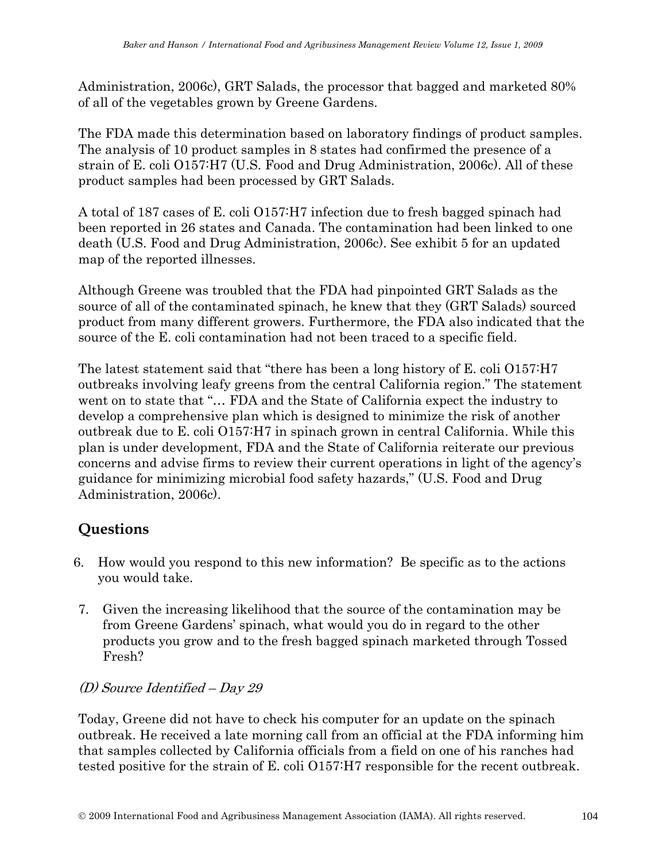Administration, 2006c), GRT Salads, the processor that bagged and marketed 80% of all of the vegetables grown by Greene Gardens.

The FDA made this determination based on laboratory findings of product samples. The analysis of 10 product samples in 8 states had confirmed the presence of a strain of E. coli O157:H7 (U.S. Food and Drug Administration, 2006c). All of these product samples had been processed by GRT Salads.

A total of 187 cases of E. coli O157:H7 infection due to fresh bagged spinach had been reported in 26 states and Canada. The contamination had been linked to one death (U.S. Food and Drug Administration, 2006c). See exhibit 5 for an updated map of the reported illnesses.

Although Greene was troubled that the FDA had pinpointed GRT Salads as the source of all of the contaminated spinach, he knew that they (GRT Salads) sourced product from many different growers. Furthermore, the FDA also indicated that the source of the E. coli contamination had not been traced to a specific field.

The latest statement said that "there has been a long history of E. coli O157:H7 outbreaks involving leafy greens from the central California region." The statement went on to state that "… FDA and the State of California expect the industry to develop a comprehensive plan which is designed to minimize the risk of another outbreak due to E. coli O157:H7 in spinach grown in central California. While this plan is under development, FDA and the State of California reiterate our previous concerns and advise firms to review their current operations in light of the agency's guidance for minimizing microbial food safety hazards," (U.S. Food and Drug Administration, 2006c).

# **Questions**

- 6. How would you respond to this new information? Be specific as to the actions you would take.
- 7. Given the increasing likelihood that the source of the contamination may be from Greene Gardens' spinach, what would you do in regard to the other products you grow and to the fresh bagged spinach marketed through Tossed Fresh?

#### (D) Source Identified – Day 29

Today, Greene did not have to check his computer for an update on the spinach outbreak. He received a late morning call from an official at the FDA informing him that samples collected by California officials from a field on one of his ranches had tested positive for the strain of E. coli O157:H7 responsible for the recent outbreak.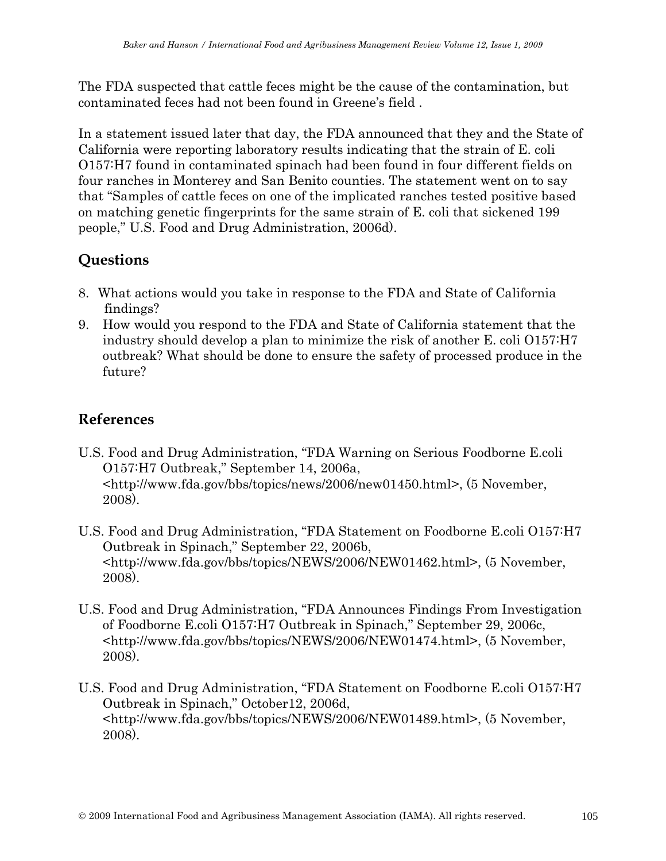The FDA suspected that cattle feces might be the cause of the contamination, but contaminated feces had not been found in Greene's field .

In a statement issued later that day, the FDA announced that they and the State of California were reporting laboratory results indicating that the strain of E. coli O157:H7 found in contaminated spinach had been found in four different fields on four ranches in Monterey and San Benito counties. The statement went on to say that "Samples of cattle feces on one of the implicated ranches tested positive based on matching genetic fingerprints for the same strain of E. coli that sickened 199 people," U.S. Food and Drug Administration, 2006d).

# **Questions**

- 8. What actions would you take in response to the FDA and State of California findings?
- 9. How would you respond to the FDA and State of California statement that the industry should develop a plan to minimize the risk of another E. coli O157:H7 outbreak? What should be done to ensure the safety of processed produce in the future?

### **References**

- U.S. Food and Drug Administration, "FDA Warning on Serious Foodborne E.coli O157:H7 Outbreak," September 14, 2006a, <http://www.fda.gov/bbs/topics/news/2006/new01450.html>, (5 November, 2008).
- U.S. Food and Drug Administration, "FDA Statement on Foodborne E.coli O157:H7 Outbreak in Spinach," September 22, 2006b, <http://www.fda.gov/bbs/topics/NEWS/2006/NEW01462.html>, (5 November, 2008).
- U.S. Food and Drug Administration, "FDA Announces Findings From Investigation of Foodborne E.coli O157:H7 Outbreak in Spinach," September 29, 2006c, <http://www.fda.gov/bbs/topics/NEWS/2006/NEW01474.html>, (5 November, 2008).
- U.S. Food and Drug Administration, "FDA Statement on Foodborne E.coli O157:H7 Outbreak in Spinach," October12, 2006d, <http://www.fda.gov/bbs/topics/NEWS/2006/NEW01489.html>, (5 November, 2008).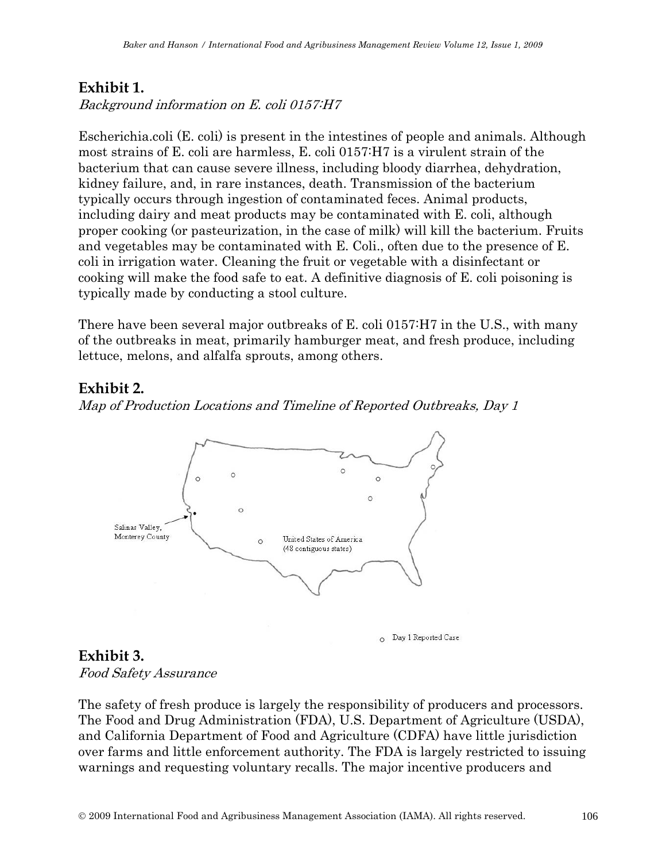### **Exhibit 1.**

Background information on E. coli 0157:H7

Escherichia.coli (E. coli) is present in the intestines of people and animals. Although most strains of E. coli are harmless, E. coli 0157:H7 is a virulent strain of the bacterium that can cause severe illness, including bloody diarrhea, dehydration, kidney failure, and, in rare instances, death. Transmission of the bacterium typically occurs through ingestion of contaminated feces. Animal products, including dairy and meat products may be contaminated with E. coli, although proper cooking (or pasteurization, in the case of milk) will kill the bacterium. Fruits and vegetables may be contaminated with E. Coli., often due to the presence of E. coli in irrigation water. Cleaning the fruit or vegetable with a disinfectant or cooking will make the food safe to eat. A definitive diagnosis of E. coli poisoning is typically made by conducting a stool culture.

There have been several major outbreaks of E. coli 0157:H7 in the U.S., with many of the outbreaks in meat, primarily hamburger meat, and fresh produce, including lettuce, melons, and alfalfa sprouts, among others.

### **Exhibit 2.**

Map of Production Locations and Timeline of Reported Outbreaks, Day 1



O Day 1 Reported Case

### **Exhibit 3.**

Food Safety Assurance

The safety of fresh produce is largely the responsibility of producers and processors. The Food and Drug Administration (FDA), U.S. Department of Agriculture (USDA), and California Department of Food and Agriculture (CDFA) have little jurisdiction over farms and little enforcement authority. The FDA is largely restricted to issuing warnings and requesting voluntary recalls. The major incentive producers and